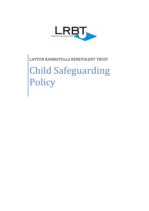

LAYTON RAHMATULLA BENEVOLENT TRUST Child Safeguarding Policy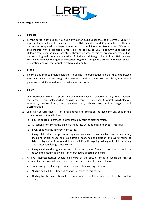

#### **Child Safeguarding Policy**

#### **1.1 Purpose**

1. For the purpose of this policy a child is any human being under the age of 18 years. Children represent a small number as patients in LRBT Hospitals and Community Eye Health Centers as compared to a large number in our School Screening Programmes. We know that children with disabilities are more likely to be abused. LRBT is committed to keeping children safe in its facilities from abuse through awareness raising, prevention, responding and reporting and the implementation of LRBT's Child Safeguarding Policy. LRBT believes that every child has the right to protection, regardless of gender, ethnicity, religion, sexual orientation and whether or not they have a disability.

#### **1.2 Scope**

1. Policy is designed to provide guidance to all LRBT Representatives so that they understand the importance of child safeguarding issues as well as undertake their legal, ethical and policy responsibilities within and outside working hours.

#### **1.3 Policy**

- 1. LRBT believes in creating a protective environment for ALL children visiting LRBT's facilities that ensure their safeguarding against all forms of violence (physical, psychological, emotional, socio-cultural, and gender-based), abuse, exploitation, neglect and discrimination.
- 2. LRBT also ensures that its staff, programmes and operations do not harm any child in the manners as mentioned below:
	- a. LRBT is obliged to protect children from any form of discrimination.
	- b. All actions concerning the child shall take into account of his or her best interests.
	- c. Every child has the inherent right to life.
	- d. Every child shall be protected against violence, abuse, neglect and exploitation, including sexual abuse and exploitation, economic exploitation and worst forms of labour, illegal use of drugs and drugs trafficking, kidnapping, selling and child trafficking and protection during armed conflict.
	- e. Every child has the right to express his or her opinion freely and to have that opinion taken into account in any matter or procedure affecting the child.
- 3. All LRBT Representatives should be aware of the circumstances in which the risks of harm or disgrace to children are increased and must mitigate these risks by:
	- Undertaking a Risk Analysis prior to any activity involving children.
	- Abiding by the LRBT's Code of Behavior pertains to this policy.
	- Abiding by the instructions for communication and fundraising as described in this policy.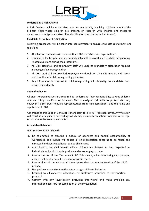

### **Undertaking a Risk Analysis**

A Risk Analysis will be undertaken prior to any activity involving children or out of the ordinary visits where children are present, or research with children and measures undertaken to mitigate any risks. Risk Identification form is attached at Annex-1.

### **Child Safe Recruitment & Selection**

Following procedures will be taken into consideration to ensure child safe recruitment and selection:

- 1. All job advertisements will mention that LRBT is a "child-safe organisation".
- 2. Candidates for hospital and community jobs will be asked specific child safeguarding related questions during their interviews.
- 3. All LRBT Hospitals and community staff will undergo mandatory orientation training including safeguarding children.
- 4. All LRBT staff will be provided Employee Handbook for their information and record which will include child safeguarding policy too.
- 5. Any information in contrast to child safeguarding will disqualify the candidate from service immediately.

#### **Code of Behavior**

All LRBT Representatives are required to understand their responsibility to keep children safe and obey this Code of Behavior. This is designed primarily to protect children; however it also serves to guard representatives from false accusations; and the name and reputation of LRBT.

Adherence to this Code of Behavior is mandatory for all LRBT representatives. Any violation will result in disciplinary proceedings which may include termination from service or legal action where the severity warrants it.

#### **Acceptable Behavior:**

LRBT representatives should:

- 1. Be committed to creating a culture of openness and mutual accountability at workplaces. This culture will enable all child protection concerns to be raised and discussed and abusive behavior can be challenged.
- 2. Contribute to an environment where children are listened to and respected as individuals and which is safe, positive and encouraging to them.
- 3. Ensure the use of the 'Two Adult Rule'. This means, when interacting with children, ensure that another adult is present or within reach.
- 4. Ensure physical contact is at all times appropriate and not an invasion of the child's privacy.
- 5. Use positive, non-violent methods to manage children's behavior.
- 6. Respond to all concerns, allegations or disclosures according to the reporting protocol.
- 7. Comply with any investigation (including interviews) and make available any information necessary for completion of the investigation.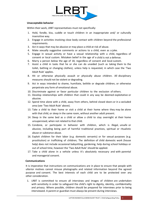

#### **Unacceptable behavior**

Within their work, LRBT representatives must not specifically:

- 1. Hold, fondle, kiss, cuddle or touch children in an inappropriate and/ or culturally insensitive way.
- 2. Engage in activities involving close body contact with children beyond the professional requirements.
- 3. Act in ways that may be abusive or may place a child at risk of abuse.
- 4. Make sexually suggestive comments or actions to a child, even as a joke.
- 5. Engage in sexual activity or have a sexual relationship with a child, regardless of consent or local custom. Mistaken belief in the age of a child is not a defense.
- 6. Marry a person below the age of 18, regardless of consent and local custom.
- 7. Assist a child in tasks that he or she can do unaided (such as taking them to the toilet, bathing or changing clothes), unless help is requested, in which case the 'Two Adult Rule' applies.
- 8. Hit or otherwise physically assault or physically abuse children. All disciplinary measures should not be violent or degrading.
- 9. Act in ways intended to shame, humiliate, belittle or degrade children, or otherwise perpetrate any form of emotional abuse.
- 10. Discriminate against or favor particular children to the exclusion of others.
- 11. Develop relationships with children that could in any way be deemed exploitative or abusive.
- 12. Spend time alone with a child, away from others, behind closed doors or in a secluded area (see 'Two Adult Rule' above).
- 13. Take a child to their home or visit a child at their home where they may be alone with that child, or sleep in the same room, without another adult present.
- 14. Sleep in the same bed as a child or allow a child to stay overnight at their home unsupervised, when not related to that child.
- 15. Condone, or participate in behavior with children, which is illegal, unsafe or abusive, including being part of harmful traditional practices, spiritual or ritualistic abuse or substance abuse.
- 16. Exploit children for their labor (e.g. domestic servants) or for sexual purposes (e.g. prostitution) or trafficking of children; The definition of child domestic work (house help) does not include occasional babysitting, gardening, help during school holidays or out of school time, however the 'Two Adult Rule' should be applied.
- 17. Take a child alone in a vehicle unless it's absolutely necessary and with parental and managerial consent.

# **Communications**

It is imperative that instructions on communications are in place to ensure that people with ulterior motives cannot misuse photographs and related information beyond the agreed purpose and consent. The best interests of each child are to be protected over any other consideration.

1. LRBT is committed to ensure all interviews and images of children are undertaken with sensitivity in order to safeguard the child's right to dignity, identity, confidentiality and privacy. Where possible, children should be prepared for interviews prior to being interviewed. A parent or guardian must always be present during interviews.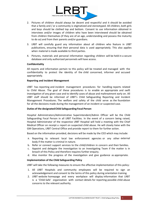

- 2. Pictures of children should always be decent and respectful and it should be avoided that a family and / or a community is stigmatized and stereotyped. All children, both girls and boys should be clothed top and bottom. Consent to use information obtained in interviews and/or images of children who have been interviewed should be obtained from children themselves (if they are of an age, understanding and possess the maturity to do so) and from their parents and/or guardians.
- 3. LRBT will carefully guard any information about all children who feature in LRBT publications, ensuring that their personal data is used appropriately. This also applies when material is made available to third parties.
- 4. Pictures, materials and personal information regarding children will be held in a secure database and only authorized personnels will have access.

#### **Confidentiality**

All reports and information pertain to this policy will be treated and managed with the confidentiality to protect the identity of the child concerned, informer and accused appropriately.

#### **Reporting and Incident Management**

LRBT has reporting and incident management procedures for handling reports related to Child Abuse. The goal of these procedures is to enable an appropriate and swift investigation of any given case and to identify cases of abuse and maltreatment early on. All LRBT staff should be informed of LRBT's Child Safeguarding Reporting and Incident Management Procedures. The welfare and safety of the child serve as the foundation for all the decisions made during the management of an incident or suspected case.

#### **Duties of the designated Child Safeguarding Focal Person**

Hospital Administrators/Administrative Superintendent/Admin Officer will be the Child Safeguarding Focal Person in all LRBT Facilities. In the event of a concern being raised, Hospital Administrator of the respective LRBT Hospital will hold a meeting with the Chief Medical Officer on receipt a report on suspected child abuse. He will closely liaise with the GM Operations, LRBT Central Office and provide report to them for further action.

Based on the information provided, decisions will be made by the CEO which may include:

- a. Reporting to relevant local law enforcement agencies or any other external body if the matter is criminal in nature.
- b. Refer or connect support services to the child/children in concern and their families.
- c. Appoint and delegate the investigation to an Investigating Team if the matter is in breach of this Policy and therefore requires further enquiry.
- d. Also monitor the progress of the investigation and give guidance as appropriate.

#### **Implementation of the Child Safeguarding Policy**

LRBT will take the following measures to ensure the effective implementation of this policy:

- 1. All LRBT Hospitals and community employees will be required to sign an acknowledgement and consent to the terms of this policy during orientation training.
- 2. LRBT website homepage and every workplace will display information that LRBT is a 'Child-Safe' organization with contact details for reporting possible child abuse concerns to the relevant authority.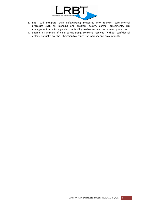

- 3. LRBT will integrate child safeguarding measures into relevant core internal processes such as: planning and program design, partner agreements, risk management, monitoring and accountability mechanisms and recruitment processes.
- 4. Submit a summary of child safeguarding concerns received (without confidential details) annually to the Chairman to ensure transparency and accountability.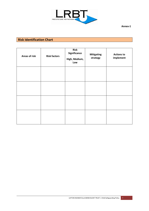

# **Risk Identification Chart**

| <b>Areas of risk</b> | <b>Risk factors</b> | <b>Risk</b><br>Significance<br>High, Medium,<br>Low | <b>Mitigating</b><br>strategy | <b>Actions to</b><br>implement |
|----------------------|---------------------|-----------------------------------------------------|-------------------------------|--------------------------------|
|                      |                     |                                                     |                               |                                |
|                      |                     |                                                     |                               |                                |
|                      |                     |                                                     |                               |                                |
|                      |                     |                                                     |                               |                                |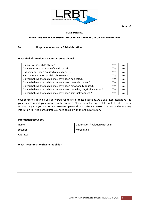

**Annex-2**

#### **CONFIDENTIAL**

#### **REPORTING FORM FOR SUSPECTED CASES OF CHILD ABUSE OR MALTREATMENT**

#### **To : Hospital Administrator / Administration**

#### **What kind of situation are you concerned about?**

| Did you witness child abuse?                                            | Yes | No. |
|-------------------------------------------------------------------------|-----|-----|
| Do you suspect someone of child abuse?                                  | Yes | No  |
| Has someone been accused of child abuse?                                | Yes | No  |
| Has someone reported child abuse to you?                                | Yes | No  |
| Do you believe that a child may have been neglected?                    | Yes | No  |
| Do you believe that a child may have been mentally abused?              | Yes | No  |
| Do you believe that a child may have been emotionally abused?           | Yes | No  |
| Do you believe that a child may have been sexually / physically abused? | Yes | No  |
| Do you believe that a child may have been spiritually abused?           | Yes | No  |

Your concern is found if you answered YES to any of these questions. As a LRBT Representative it is your duty to report your concern with this form. Please do not delay; a child could be at risk or in serious danger if you do not act. However, please do not take any personal action or disclose any informtion to Third Parties until you have spoken with the Administration.

#### **Information about You**

| Name:     | Designation / Relation with LRBT: |
|-----------|-----------------------------------|
| Location: | Mobile No.:                       |
| Address:  |                                   |

| What is your relationship to the child? |  |  |  |  |
|-----------------------------------------|--|--|--|--|
|                                         |  |  |  |  |
|                                         |  |  |  |  |
|                                         |  |  |  |  |
|                                         |  |  |  |  |
|                                         |  |  |  |  |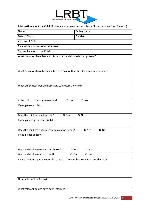

# **Information about the Child** (if other children are affected, please fill out separate form for each)

| Name:                                                                             | <b>Father Name:</b> |  |
|-----------------------------------------------------------------------------------|---------------------|--|
| Date of Birth:                                                                    | Gender:             |  |
| Address of Child:                                                                 |                     |  |
| Relationship to the potential abuser:                                             |                     |  |
| Current location of the Child:                                                    |                     |  |
| What measures have been instituted for the child's safety at present?             |                     |  |
|                                                                                   |                     |  |
|                                                                                   |                     |  |
| What measures have been instituted to ensure that the abuse cannot continue?      |                     |  |
|                                                                                   |                     |  |
| What other measures are necessary to protect the Child?                           |                     |  |
|                                                                                   |                     |  |
|                                                                                   |                     |  |
| Is the child particularly vulnerable?<br>O Yes                                    | O No                |  |
| If yes, please explain:                                                           |                     |  |
|                                                                                   |                     |  |
| Does the child have a disability?<br>O Yes                                        | O No                |  |
| If yes, please specify the disability:                                            |                     |  |
|                                                                                   |                     |  |
| Does the child have special communication needs?                                  | O Yes<br>O No       |  |
| If yes, please specify:                                                           |                     |  |
|                                                                                   |                     |  |
|                                                                                   |                     |  |
| Has the child been repeatedly abused?<br>O Yes                                    | O No                |  |
| Has the child been traumatized?<br>O Yes<br>O No                                  |                     |  |
| Please mention special cultural factors that need to be taken into consideration: |                     |  |
|                                                                                   |                     |  |
|                                                                                   |                     |  |
| Other information (if any):                                                       |                     |  |
|                                                                                   |                     |  |
| What relevant bodies have been informed?                                          |                     |  |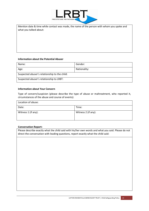

Mention date & time while contact was made, the name of the person with whom you spoke and what you talked about:

#### **Information about the Potential Abuser**

| Name:                                         | Gender:      |  |
|-----------------------------------------------|--------------|--|
| Age:                                          | Nationality: |  |
| Suspected abuser's relationship to the child: |              |  |
| Suspected abuser's relationship to LRBT:      |              |  |

#### **Information about Your Concern**

Type of concern/suspicion (please describe the type of abuse or maltreatment, who reported it, circumstances of the abuse and course of events):

| Location of abuse:  |                     |  |
|---------------------|---------------------|--|
| Date:               | Time:               |  |
| Witness 1 (if any): | Witness 2 (if any): |  |

#### **Conversation Report:**

Please describe exactly what the child said with his/her own words and what you said. Please do not direct the conversation with leading questions, report exactly what the child said: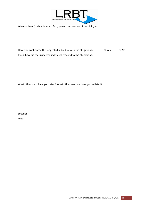

| Observations (such as injuries, fear, general impression of the child, etc.) |       |      |
|------------------------------------------------------------------------------|-------|------|
|                                                                              |       |      |
|                                                                              |       |      |
|                                                                              |       |      |
| Have you confronted the suspected individual with the allegations?           | O Yes | O No |
| If yes, how did the suspected individual respond to the allegations?         |       |      |
|                                                                              |       |      |
|                                                                              |       |      |
|                                                                              |       |      |
|                                                                              |       |      |
|                                                                              |       |      |
| What other steps have you taken? What other measure have you initiated?      |       |      |
|                                                                              |       |      |
|                                                                              |       |      |
|                                                                              |       |      |
|                                                                              |       |      |
| Location:                                                                    |       |      |
| Date:                                                                        |       |      |
|                                                                              |       |      |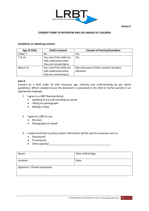



# **CONSENT FORM TO INTERVIEW AND USE IMAGES OF CHILDREN**

#### **Guidelines on obtaining consent**

| <b>Age of Child</b> | <b>Child's Consent</b>                                                         | <b>Consent of Parents/Guardians</b>                   |
|---------------------|--------------------------------------------------------------------------------|-------------------------------------------------------|
| Under 7             | No                                                                             | Yes                                                   |
| 7 to 14             | Yes, only if the child can<br>fully understand what                            | Yes                                                   |
|                     | they are consenting to.                                                        |                                                       |
| Above 14            | Yes, only if the child can<br>fully understand what<br>they are consenting to. | Not necessary if child's consent has been<br>obtained |

# **Part A**

Consent by a child under 18 with necessary age, maturity and understanding (as per above guidelines). Where needed ensure this document is presented to the child or his/her parents in an appropriate language.

- 1. I agree to a LRBT Representative:
	- Speaking to me and recording my words
	- Taking my photographs
	- Making a video
- 2. I agree for LRBT to use:
	- My story
	- Photographs of myself
- 3. I understand that my photo and/or information will be used for purposes such as:
	- Educational
	- Promotional
	- Other (specify) \_\_\_\_\_\_\_\_\_\_\_\_\_\_\_\_\_\_\_\_\_\_\_\_\_\_\_\_\_\_\_\_\_\_\_\_\_\_\_\_\_\_\_\_\_

| Name:                         | Date of Birth/Age: |
|-------------------------------|--------------------|
|                               |                    |
| Location:                     | Date:              |
|                               |                    |
| Signature / Thumb Impression: |                    |
|                               |                    |
|                               |                    |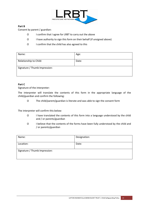

#### **Part B**

Consent by parent / guardian:

- Ο I confirm that I agree for LRBT to carry out the above
- Ο I have authority to sign this form on their behalf (if unsigned above)
- Ο I confirm that the child has also agreed to this

| Name:                         | Age:  |
|-------------------------------|-------|
| Relationship to Child:        | Date: |
| Signature / Thumb Impression: |       |

#### **Part C**

Signature of the interpreter:

The interpreter will translate the contents of this form in the appropriate language of the child/guardian and confirm the following:

Ο The child/parent/guardian is literate and was able to sign the consent form

The interpreter will confirm this below:

- Ο I have translated the contents of this form into a language understood by the child and / or parents/guardian
- Ο I believe that the contents of the forms have been fully understood by the child and / or parents/guardian

| Name:                         | Designation: |
|-------------------------------|--------------|
| Location:                     | Date:        |
| Signature / Thumb Impression: |              |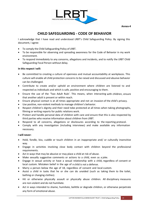

# **CHILD SAFEGUARDING - CODE OF BEHAVIOR**

I acknowledge that I have read and understood LRBT's Child Safeguarding Policy. By signing this document, I agree:

- To comply the Child Safeguarding Policy of LRBT.
- To be responsible for observing and spreading awareness for the Code of Behavior in my work environment.
- To respond immediately to any concerns, allegations and incidents, and to notify the LRBT Child Safeguarding Focal Person without delay.

# **In this respect I will:**

- Be committed to creating a culture of openness and mutual accountability at workplaces. This culture will enable all child protection concerns to be raised and discussed and abusive behavior can be challenged.
- Contribute to create and/or uphold an environment where children are listened to and respected as individuals and which is safe, positive and encouraging to them.
- Ensure the use of the 'Two Adult Rule'. This means, when interacting with children, ensure that another adult is present or within reach.
- Ensure physical contact is at all times appropriate and not an invasion of the child's privacy.
- Use positive, non-violent methods to manage children's behavior.
- Respect children's dignity and their need tobe protected at all times when taking photographs, filming or writing reports for public relations work.
- Protect and handle personal data of children with care and ensure that this is also respected by third parties who receive information about children from LRBT.
- Respond to all concerns, allegations or disclosures according to the reporting protocol.
- Comply with any investigation (including interviews) and make available any information necessary.

#### **I will never:**

- Hold, fondle, kiss, cuddle or touch children in an inappropriate and/ or culturally insensitive way.
- Engage in activities involving close body contact with children beyond the professional requirements.
- Act in ways that may be abusive or may place a child at risk of abuse.
- Make sexually suggestive comments or actions to a child, even as a joke.
- Engage in sexual activity or have a sexual relationship with a child, regardless of consent or local custom. Mistaken belief in the age of a child is not a defense.
- Marry a person below the age of 18, regardless of consent and local custom.
- Assist a child in tasks that he or she can do unaided (such as taking them to the toilet, bathing or changing clothes).
- Hit or otherwise physically assault or physically abuse children. All disciplinary measures are non-violent and do not humiliate.
- Act in ways intended to shame, humiliate, belittle or degrade children, or otherwise perpetrate any form of emotional abuse.